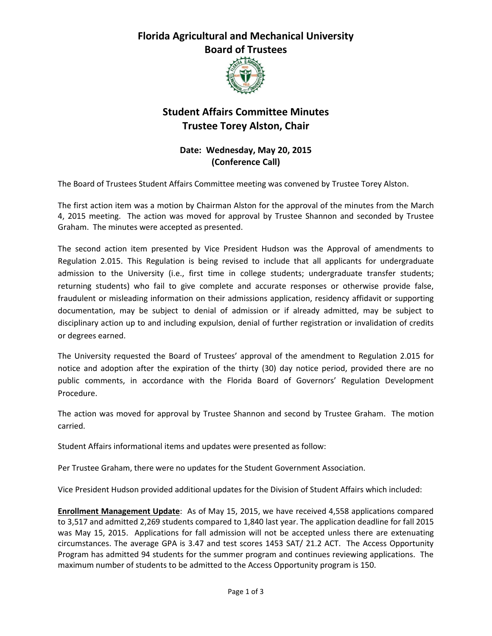## **Florida Agricultural and Mechanical University Board of Trustees**



# **Student Affairs Committee Minutes Trustee Torey Alston, Chair**

## **Date: Wednesday, May 20, 2015 (Conference Call)**

The Board of Trustees Student Affairs Committee meeting was convened by Trustee Torey Alston.

The first action item was a motion by Chairman Alston for the approval of the minutes from the March 4, 2015 meeting. The action was moved for approval by Trustee Shannon and seconded by Trustee Graham. The minutes were accepted as presented.

The second action item presented by Vice President Hudson was the Approval of amendments to Regulation 2.015. This Regulation is being revised to include that all applicants for undergraduate admission to the University (i.e., first time in college students; undergraduate transfer students; returning students) who fail to give complete and accurate responses or otherwise provide false, fraudulent or misleading information on their admissions application, residency affidavit or supporting documentation, may be subject to denial of admission or if already admitted, may be subject to disciplinary action up to and including expulsion, denial of further registration or invalidation of credits or degrees earned.

The University requested the Board of Trustees' approval of the amendment to Regulation 2.015 for notice and adoption after the expiration of the thirty (30) day notice period, provided there are no public comments, in accordance with the Florida Board of Governors' Regulation Development Procedure.

The action was moved for approval by Trustee Shannon and second by Trustee Graham. The motion carried.

Student Affairs informational items and updates were presented as follow:

Per Trustee Graham, there were no updates for the Student Government Association.

Vice President Hudson provided additional updates for the Division of Student Affairs which included:

**Enrollment Management Update**:As of May 15, 2015, we have received 4,558 applications compared to 3,517 and admitted 2,269 students compared to 1,840 last year. The application deadline for fall 2015 was May 15, 2015. Applications for fall admission will not be accepted unless there are extenuating circumstances. The average GPA is 3.47 and test scores 1453 SAT/ 21.2 ACT. The Access Opportunity Program has admitted 94 students for the summer program and continues reviewing applications. The maximum number of students to be admitted to the Access Opportunity program is 150.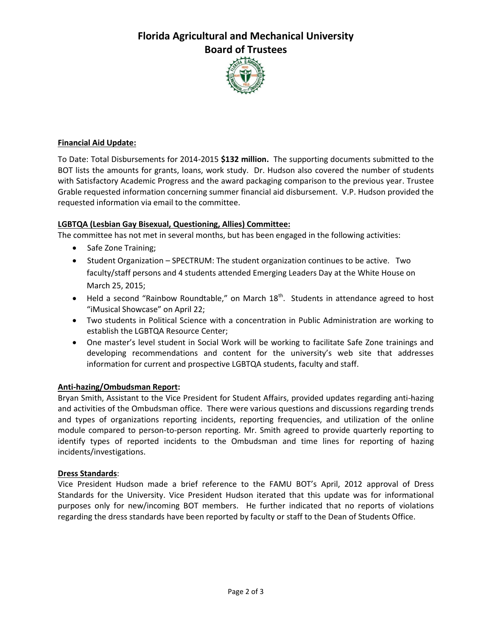# **Florida Agricultural and Mechanical University Board of Trustees**



### **Financial Aid Update:**

To Date: Total Disbursements for 2014-2015 **\$132 million.** The supporting documents submitted to the BOT lists the amounts for grants, loans, work study. Dr. Hudson also covered the number of students with Satisfactory Academic Progress and the award packaging comparison to the previous year. Trustee Grable requested information concerning summer financial aid disbursement. V.P. Hudson provided the requested information via email to the committee.

### **LGBTQA (Lesbian Gay Bisexual, Questioning, Allies) Committee:**

The committee has not met in several months, but has been engaged in the following activities:

- Safe Zone Training;
- Student Organization SPECTRUM: The student organization continues to be active. Two faculty/staff persons and 4 students attended Emerging Leaders Day at the White House on March 25, 2015;
- $\bullet$  Held a second "Rainbow Roundtable," on March 18<sup>th</sup>. Students in attendance agreed to host "iMusical Showcase" on April 22;
- Two students in Political Science with a concentration in Public Administration are working to establish the LGBTQA Resource Center;
- One master's level student in Social Work will be working to facilitate Safe Zone trainings and developing recommendations and content for the university's web site that addresses information for current and prospective LGBTQA students, faculty and staff.

### **Anti-hazing/Ombudsman Report:**

Bryan Smith, Assistant to the Vice President for Student Affairs, provided updates regarding anti-hazing and activities of the Ombudsman office. There were various questions and discussions regarding trends and types of organizations reporting incidents, reporting frequencies, and utilization of the online module compared to person-to-person reporting. Mr. Smith agreed to provide quarterly reporting to identify types of reported incidents to the Ombudsman and time lines for reporting of hazing incidents/investigations.

### **Dress Standards**:

Vice President Hudson made a brief reference to the FAMU BOT's April, 2012 approval of Dress Standards for the University. Vice President Hudson iterated that this update was for informational purposes only for new/incoming BOT members. He further indicated that no reports of violations regarding the dress standards have been reported by faculty or staff to the Dean of Students Office.